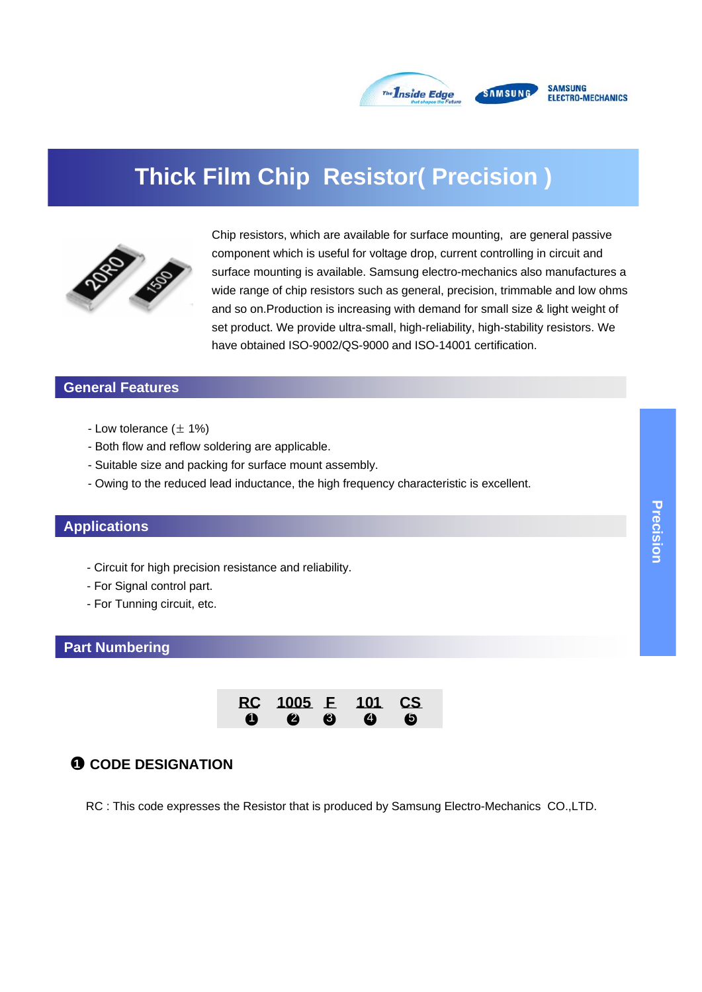

# **Thick Film Chip Resistor( Precision )**



Chip resistors, which are available for surface mounting, are general passive component which is useful for voltage drop, current controlling in circuit and surface mounting is available. Samsung electro-mechanics also manufactures a wide range of chip resistors such as general, precision, trimmable and low ohms and so on.Production is increasing with demand for small size & light weight of set product. We provide ultra-small, high-reliability, high-stability resistors. We have obtained ISO-9002/QS-9000 and ISO-14001 certification.

# **General Features**

- Low tolerance  $(\pm 1\%)$
- Both flow and reflow soldering are applicable.
- Suitable size and packing for surface mount assembly.
- Owing to the reduced lead inductance, the high frequency characteristic is excellent.

#### **Applications**

- Circuit for high precision resistance and reliability.
- For Signal control part.
- For Tunning circuit, etc.

#### **Part Numbering**



#### **0** CODE DESIGNATION

RC : This code expresses the Resistor that is produced by Samsung Electro-Mechanics CO.,LTD.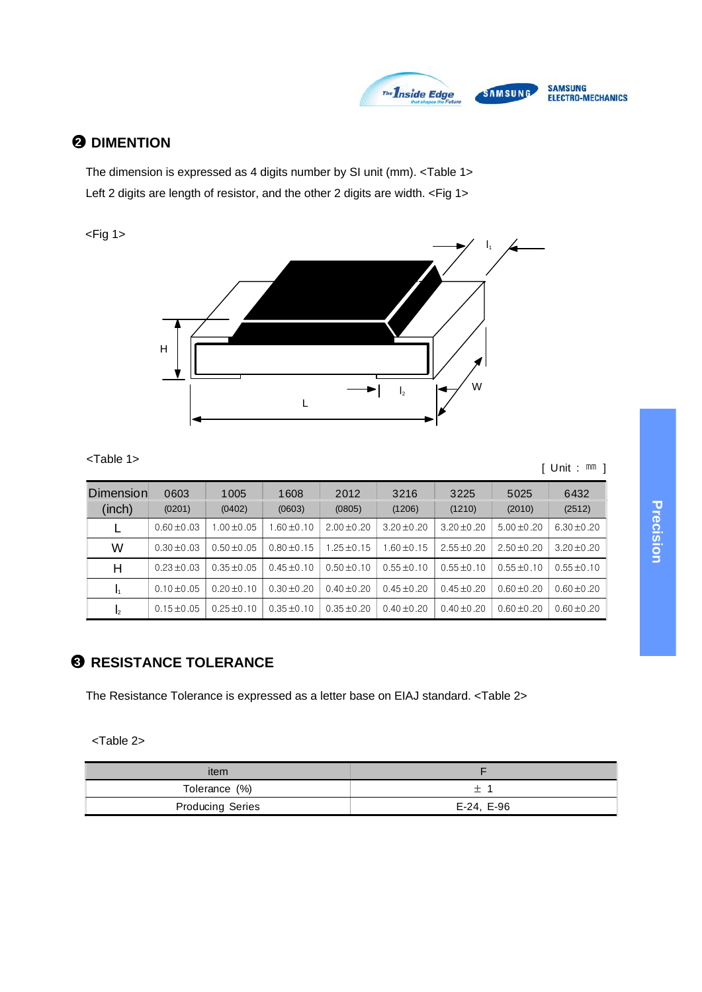

# ●**2 DIMENTION**

The dimension is expressed as 4 digits number by SI unit (mm). <Table 1> Left 2 digits are length of resistor, and the other 2 digits are width. <Fig 1>

 $<$ Fig 1 $>$ 



<Table 1>

[ Unit : ㎜ ]

| <b>Dimension</b><br>(inch) | 0603<br>(0201)  | 1005<br>(0402) | 1608<br>(0603)  | 2012<br>(0805)  | 3216<br>(1206)  | 3225<br>(1210)  | 5025<br>(2010)  | 6432<br>(2512)  |
|----------------------------|-----------------|----------------|-----------------|-----------------|-----------------|-----------------|-----------------|-----------------|
|                            | $0.60 \pm 0.03$ | $.00 + 0.05$   | $1.60 \pm 0.10$ | $2.00 + 0.20$   | $3.20 \pm 0.20$ | $3.20 \pm 0.20$ | $5.00 + 0.20$   | $6.30 + 0.20$   |
| W                          | $0.30 + 0.03$   | $0.50 + 0.05$  | $0.80 + 0.15$   | $1.25 + 0.15$   | $.60 + 0.15$    | $2.55 \pm 0.20$ | $2.50 + 0.20$   | $3.20 + 0.20$   |
| н                          | $0.23 + 0.03$   | $0.35 + 0.05$  | $0.45 \pm 0.10$ | $0.50 \pm 0.10$ | $0.55 \pm 0.10$ | $0.55 \pm 0.10$ | $0.55 \pm 0.10$ | $0.55 \pm 0.10$ |
| I1                         | $0.10 + 0.05$   | $0.20 + 0.10$  | $0.30 + 0.20$   | $0.40 + 0.20$   | $0.45 + 0.20$   | $0.45 \pm 0.20$ | $0.60 + 0.20$   | $0.60 + 0.20$   |
| $\mathsf{I}_2$             | $0.15 + 0.05$   | $0.25 + 0.10$  | $0.35 + 0.10$   | $0.35 + 0.20$   | $0.40 + 0.20$   | $0.40 + 0.20$   | $0.60 + 0.20$   | $0.60 \pm 0.20$ |

# ●**3 RESISTANCE TOLERANCE**

The Resistance Tolerance is expressed as a letter base on EIAJ standard. <Table 2>

<Table 2>

| item                    |            |
|-------------------------|------------|
| Tolerance (%)           |            |
| <b>Producing Series</b> | E-24, E-96 |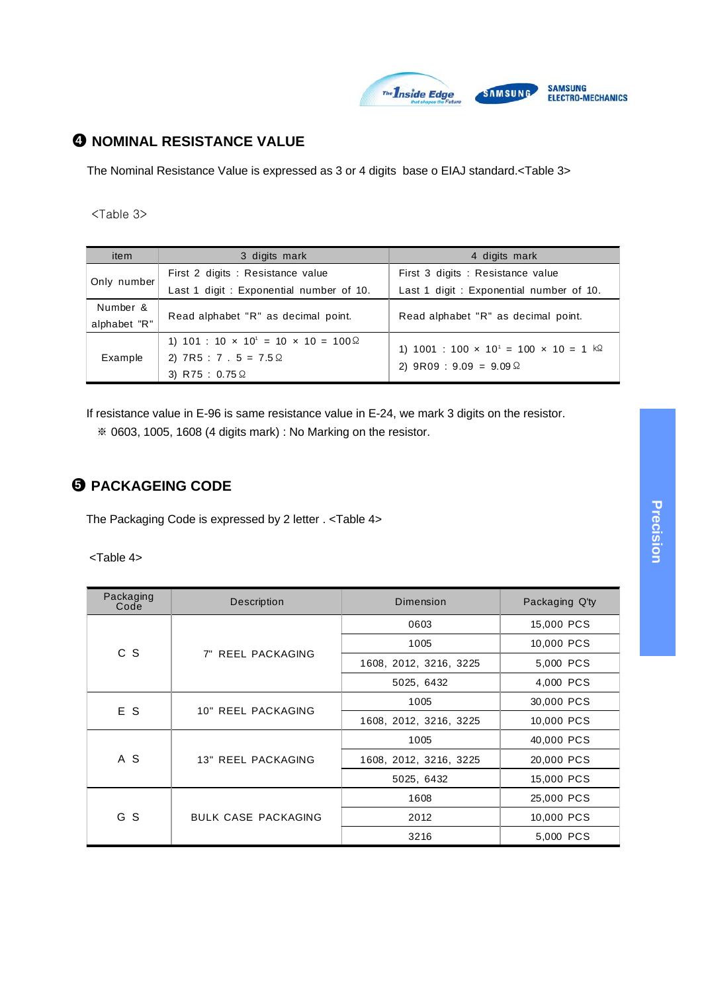

# ●**4 NOMINAL RESISTANCE VALUE**

The Nominal Resistance Value is expressed as 3 or 4 digits base o EIAJ standard.<Table 3>

<Table 3>

| item         | 3 digits mark                                                        | 4 digits mark                                                          |  |
|--------------|----------------------------------------------------------------------|------------------------------------------------------------------------|--|
|              | First 2 digits : Resistance value                                    | First 3 digits : Resistance value                                      |  |
| Only number  | Last 1 digit: Exponential number of 10.                              | Last 1 digit: Exponential number of 10.                                |  |
| Number &     | Read alphabet "R" as decimal point.                                  | Read alphabet "R" as decimal point.                                    |  |
| alphabet "R" |                                                                      |                                                                        |  |
|              | 1) 101 : 10 $\times$ 10 <sup>1</sup> = 10 $\times$ 10 = 100 $\Omega$ | 1) 1001 : 100 $\times$ 10 <sup>1</sup> = 100 $\times$ 10 = 1 $k\Omega$ |  |
| Example      | 2) $7R5 : 7 . 5 = 7.5 \Omega$                                        |                                                                        |  |
|              | 3) R75 : $0.75 \Omega$                                               | 2) $9R09 : 9.09 = 9.09 \Omega$                                         |  |

If resistance value in E-96 is same resistance value in E-24, we mark 3 digits on the resistor.

※ 0603, 1005, 1608 (4 digits mark) : No Marking on the resistor.

# ●**5 PACKAGEING CODE**

The Packaging Code is expressed by 2 letter . <Table 4>

<Table 4>

| Packaging<br>Code | Description                | Dimension              | Packaging Q'ty |
|-------------------|----------------------------|------------------------|----------------|
|                   |                            | 0603                   | 15,000 PCS     |
| c s               | 7" REEL PACKAGING          | 1005                   | 10,000 PCS     |
|                   |                            | 1608, 2012, 3216, 3225 | 5,000 PCS      |
|                   |                            | 5025, 6432             | 4,000 PCS      |
| E S               | 10" REEL PACKAGING         | 1005                   | 30,000 PCS     |
|                   |                            | 1608, 2012, 3216, 3225 | 10,000 PCS     |
|                   |                            | 1005                   | 40,000 PCS     |
| A S               | 13" REEL PACKAGING         | 1608, 2012, 3216, 3225 | 20,000 PCS     |
|                   |                            | 5025, 6432             | 15,000 PCS     |
|                   |                            | 1608                   | 25,000 PCS     |
| G S               | <b>BULK CASE PACKAGING</b> | 2012                   | 10,000 PCS     |
|                   |                            | 3216                   | 5,000 PCS      |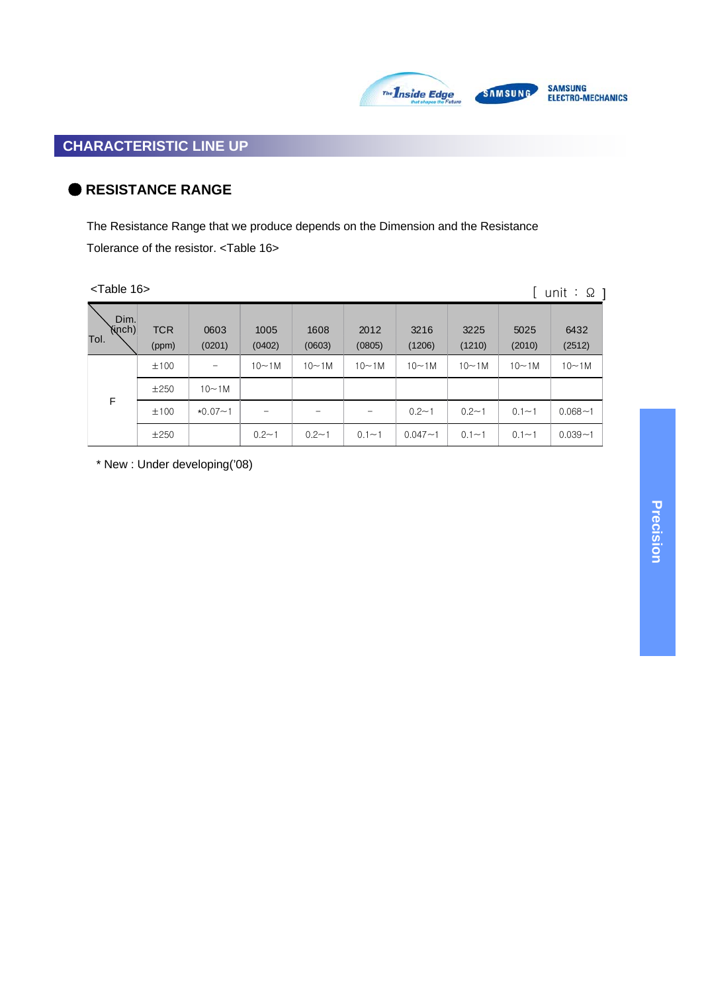

# SAMSUNG<br>Electro-mechanics

# ● **RESISTANCE RANGE**

The Resistance Range that we produce depends on the Dimension and the Resistance Tolerance of the resistor. <Table 16>

 $T$ oble 16

| $\le$ I able 16 $\ge$  |                     |                |                |                        |                |                |                |                | unit : $\Omega$ |
|------------------------|---------------------|----------------|----------------|------------------------|----------------|----------------|----------------|----------------|-----------------|
| Dim.<br>Yinch)<br>Tol. | <b>TCR</b><br>(ppm) | 0603<br>(0201) | 1005<br>(0402) | 1608<br>(0603)         | 2012<br>(0805) | 3216<br>(1206) | 3225<br>(1210) | 5025<br>(2010) | 6432<br>(2512)  |
|                        | ±100                | -              | $10 - 1M$      | $10\nightharpoonup 1M$ | $10-1M$        | $10-1M$        | $10 - 1M$      | $10 \sim 1M$   | $10-1M$         |
|                        | $\pm 250$           | $10-1M$        |                |                        |                |                |                |                |                 |
| F                      | ±100                | $*0.07 - 1$    |                |                        |                | $0.2 - 1$      | $0.2 - 1$      | $0.1 - 1$      | $0.068 - 1$     |
|                        | ±250                |                | $0.2 - 1$      | $0.2 - 1$              | $0.1 - 1$      | $0.047 - 1$    | $0.1 - 1$      | $0.1 - 1$      | $0.039 - 1$     |

\* New : Under developing('08)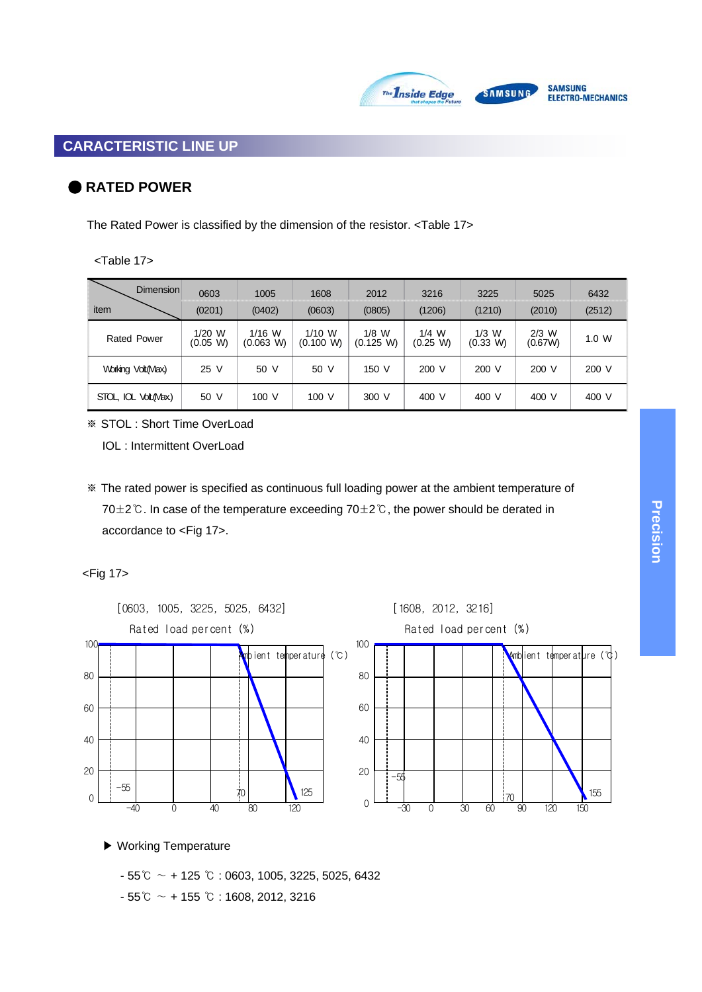

# ● **RATED POWER**

The Rated Power is classified by the dimension of the resistor. <Table 17>

#### <Table 17>

| Dimension                 | 0603                 | 1005                  | 1608                | 2012                 | 3216                | 3225                | 5025               | 6432   |
|---------------------------|----------------------|-----------------------|---------------------|----------------------|---------------------|---------------------|--------------------|--------|
| item                      | (0201)               | (0402)                | (0603)              | (0805)               | (1206)              | (1210)              | (2010)             | (2512) |
| <b>Rated Power</b>        | $1/20$ W<br>(0.05 W) | $1/16$ W<br>(0.063 W) | 1/10 W<br>(0.100 W) | $1/8$ W<br>(0.125 W) | $1/4$ W<br>(0.25 W) | $1/3$ W<br>(0.33 W) | $2/3$ W<br>(0.67W) | 1.0 W  |
| Working Volt(Max)         | 25 V                 | 50 V                  | 50 V                | 150 V                | 200 V               | 200 V               | 200 V              | 200 V  |
| STOL, IOL<br>Volt. (Max.) | 50 V                 | 100V                  | 100V                | 300 V                | 400 V               | 400 V               | 400 V              | 400 V  |

※ STOL : Short Time OverLoad

IOL : Intermittent OverLoad

※ The rated power is specified as continuous full loading power at the ambient temperature of 70±2℃. In case of the temperature exceeding 70±2℃, the power should be derated in accordance to <Fig 17>.

#### <Fig 17>



▶ Working Temperature

- 55℃ ∼ + 125 ℃ : 0603, 1005, 3225, 5025, 6432

- 55℃ ∼ + 155 ℃ : 1608, 2012, 3216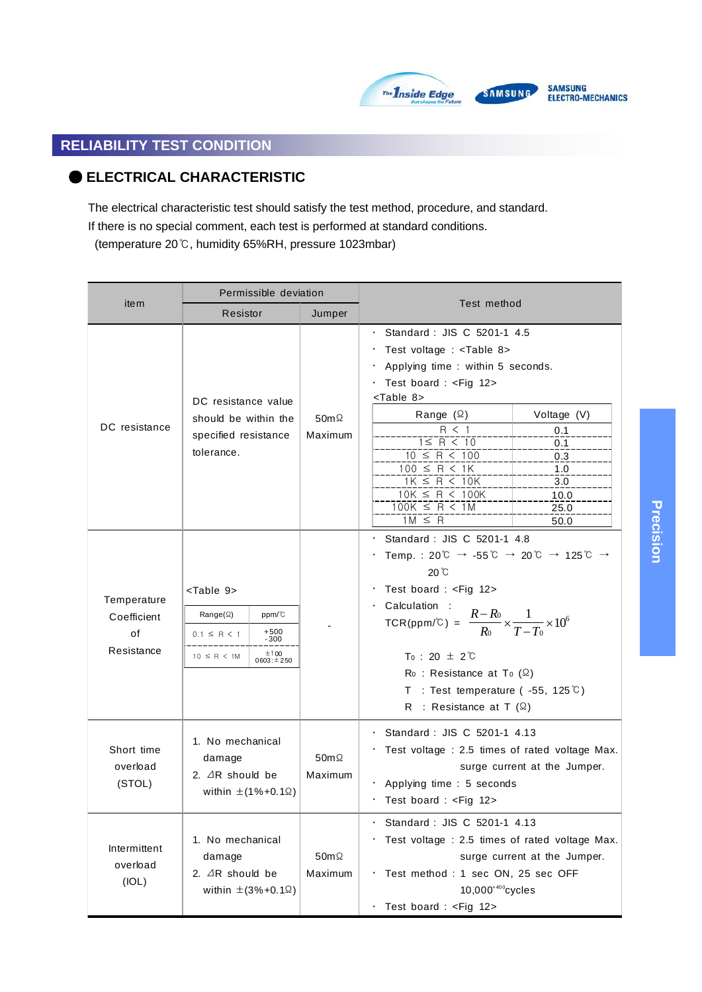

# **SAMSUNG**

# SAMSUNG<br>Electro-mechanics

# **RELIABILITY TEST CONDITION**

# ● **ELECTRICAL CHARACTERISTIC**

The electrical characteristic test should satisfy the test method, procedure, and standard.

If there is no special comment, each test is performed at standard conditions.

(temperature 20℃, humidity 65%RH, pressure 1023mbar)

|                                                | Permissible deviation                                                                                                                                                                                                   |                         |                                                                                                                                                                                                                                                                                                                                                                                                                                                                                                                                                            |  |  |
|------------------------------------------------|-------------------------------------------------------------------------------------------------------------------------------------------------------------------------------------------------------------------------|-------------------------|------------------------------------------------------------------------------------------------------------------------------------------------------------------------------------------------------------------------------------------------------------------------------------------------------------------------------------------------------------------------------------------------------------------------------------------------------------------------------------------------------------------------------------------------------------|--|--|
| item                                           | Resistor                                                                                                                                                                                                                | Jumper                  | Test method                                                                                                                                                                                                                                                                                                                                                                                                                                                                                                                                                |  |  |
| DC resistance                                  | DC resistance value<br>should be within the<br>specified resistance<br>tolerance.                                                                                                                                       | $50m\Omega$<br>Maximum  | · Standard : JIS C 5201-1 4.5<br>Test voltage : <table 8=""><br/>Applying time : within 5 seconds.<br/>Test board : <fig 12=""><br/><table 8=""><br/>Range <math>(\Omega)</math><br/>Voltage (V)<br/>R &lt; 1<br/>0.1<br/><math>1 \leq R &lt; 10</math><br/>0.1<br/><math>10 \leq R \leq 100</math><br/>0.3<br/><math>100 \leq R &lt; 1K</math><br/>1.0<br/><math>1K \leq R &lt; 10K</math><br/>3.0<br/><math>10K \leq R &lt; 100K</math><br/>10.0<br/><math>100K \leq R &lt; 1M</math><br/>25.0<br/><math>1M \leq R</math><br/>50.0</table></fig></table> |  |  |
| Temperature<br>Coefficient<br>of<br>Resistance | <table 9=""><br/>Range(<math>\Omega</math>)<br/>ppm/°C<br/><math>+500</math><br/><math>0.1 \le R &lt; 1</math><br/><math>-300</math><br/>±100<br/><math>10 \leq R &lt; 1M</math><br/><math>0603: \pm 250</math></table> |                         | Standard: JIS C 5201-1 4.8<br>Temp.: 20°C $\rightarrow$ -55°C $\rightarrow$ 20°C $\rightarrow$ 125°C $\rightarrow$<br>$20^{\circ}$ C<br>Test board : <fig 12=""><br/>Calculation :<br/>TCR(ppm/°C) = <math>\frac{R - R_0}{R_0} \times \frac{1}{T - T_0} \times 10^6</math><br/><math>T_0</math> : 20 <math>\pm</math> 2 <math>\degree</math>C<br/><math>Ro</math>: Resistance at To <math>(\Omega)</math><br/>T : Test temperature (<math>-55, 125^{\circ}</math>C)<br/>R : Resistance at T <math>(\Omega)</math></fig>                                    |  |  |
| Short time<br>overload<br>(STOL)               | 1. No mechanical<br>damage<br>2. $\triangle$ R should be<br>within $\pm$ (1%+0.1 $\Omega$ )                                                                                                                             | 50m $\Omega$<br>Maximum | Standard: JIS C 5201-1 4.13<br>Test voltage : 2.5 times of rated voltage Max.<br>surge current at the Jumper.<br>$\cdot$ Applying time : 5 seconds<br>· Test board : <fig 12=""></fig>                                                                                                                                                                                                                                                                                                                                                                     |  |  |
| Intermittent<br>overload<br>(IOL)              | 1. No mechanical<br>damage<br>2. $\triangle$ R should be<br>within $\pm$ (3%+0.1 $\Omega$ )                                                                                                                             | $50m\Omega$<br>Maximum  | Standard: JIS C 5201-1 4.13<br>Test voltage : 2.5 times of rated voltage Max.<br>surge current at the Jumper.<br>Test method : 1 sec ON, 25 sec OFF<br>$10,000^{400}$ cycles<br>Test board : <fig 12=""></fig>                                                                                                                                                                                                                                                                                                                                             |  |  |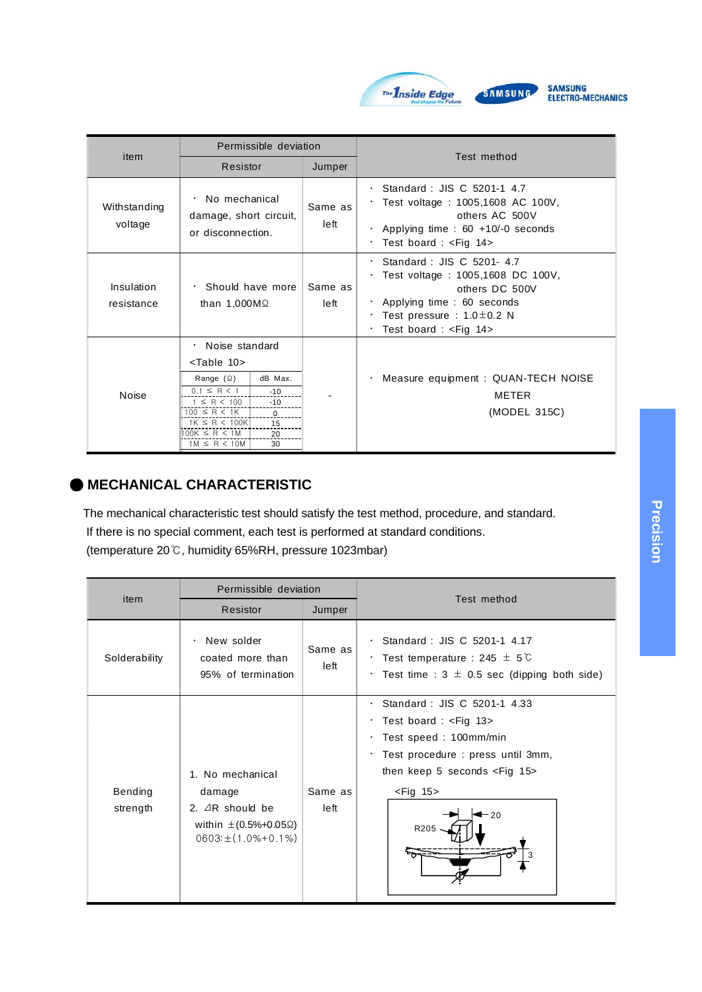

|                          | Permissible deviation                                                                                                                                                                                                                                                                                                                                                                                              |                 |                                                                                                                                                                                        |
|--------------------------|--------------------------------------------------------------------------------------------------------------------------------------------------------------------------------------------------------------------------------------------------------------------------------------------------------------------------------------------------------------------------------------------------------------------|-----------------|----------------------------------------------------------------------------------------------------------------------------------------------------------------------------------------|
| item                     | Resistor                                                                                                                                                                                                                                                                                                                                                                                                           | Jumper          | Test method                                                                                                                                                                            |
| Withstanding<br>voltage  | No mechanical<br>$\bullet$<br>damage, short circuit,<br>or disconnection.                                                                                                                                                                                                                                                                                                                                          | Same as<br>left | Standard: JIS C 5201-1 4.7<br>Test voltage: 1005,1608 AC 100V,<br>others AC 500V<br>Applying time : $60 + 10/-0$ seconds<br>$\bullet$<br>Test board : $\leq$ Fig 14>                   |
| Insulation<br>resistance | $\cdot$ Should have more<br>than $1,000M\Omega$                                                                                                                                                                                                                                                                                                                                                                    | Same as<br>left | $\cdot$ Standard : JIS C 5201-4.7<br>Test voltage: 1005,1608 DC 100V,<br>others DC 500V<br>Applying time: 60 seconds<br>Test pressure : $1.0 \pm 0.2$ N<br>Test board : $\leq$ Fig 14> |
| <b>Noise</b>             | Noise standard<br>$\bullet$<br><table 10=""><br/>dB Max.<br/>Range <math>(\Omega)</math><br/><math>0.1 \leq R &lt; 1</math><br/><math>-10</math><br/><math>1 \le R &lt; 100</math><br/><math>-10</math><br/><math>100 \leq R \leq 1</math>K<br/><math>\mathbf{0}</math><br/><math>1K \leq R &lt; 100K</math><br/>15<br/><math>100K \leq R \leq 1M</math><br/>20<br/><math>1M \leq R &lt; 10M</math><br/>30</table> |                 | Measure equipment : QUAN-TECH NOISE<br>٠<br><b>METER</b><br>(MODEL 315C)                                                                                                               |

# ● **MECHANICAL CHARACTERISTIC**

The mechanical characteristic test should satisfy the test method, procedure, and standard. If there is no special comment, each test is performed at standard conditions. (temperature 20℃, humidity 65%RH, pressure 1023mbar)

|                     | Permissible deviation                                                                                                    |                 | Test method                                                                                                                                                                                                                                                                  |  |
|---------------------|--------------------------------------------------------------------------------------------------------------------------|-----------------|------------------------------------------------------------------------------------------------------------------------------------------------------------------------------------------------------------------------------------------------------------------------------|--|
| item                | Resistor<br>Jumper                                                                                                       |                 |                                                                                                                                                                                                                                                                              |  |
| Solderability       | New solder<br>$\bullet$<br>coated more than<br>95% of termination                                                        | Same as<br>left | Standard: JIS C 5201-1 4.17<br>$\cdot$ Test temperature : 245 $\pm$ 5 $\degree$<br>$\cdot$ Test time : 3 $\pm$ 0.5 sec (dipping both side)                                                                                                                                   |  |
| Bending<br>strength | 1. No mechanical<br>damage<br>2. $\triangle$ R should be<br>within $\pm (0.5\% + 0.05\%)$<br>$0603: \pm (1.0\% + 0.1\%)$ | Same as<br>left | $\cdot$ Standard : JIS C 5201-1 4.33<br>· Test board : <fig 13=""><br/>· Test speed: 100mm/min<br/>· Test procedure : press until 3mm,<br/>then keep 5 seconds <math>\leq</math> Fig 15&gt;<br/><math>&lt;</math>Fig 15<math>&gt;</math><br/><math>-20</math><br/>R205</fig> |  |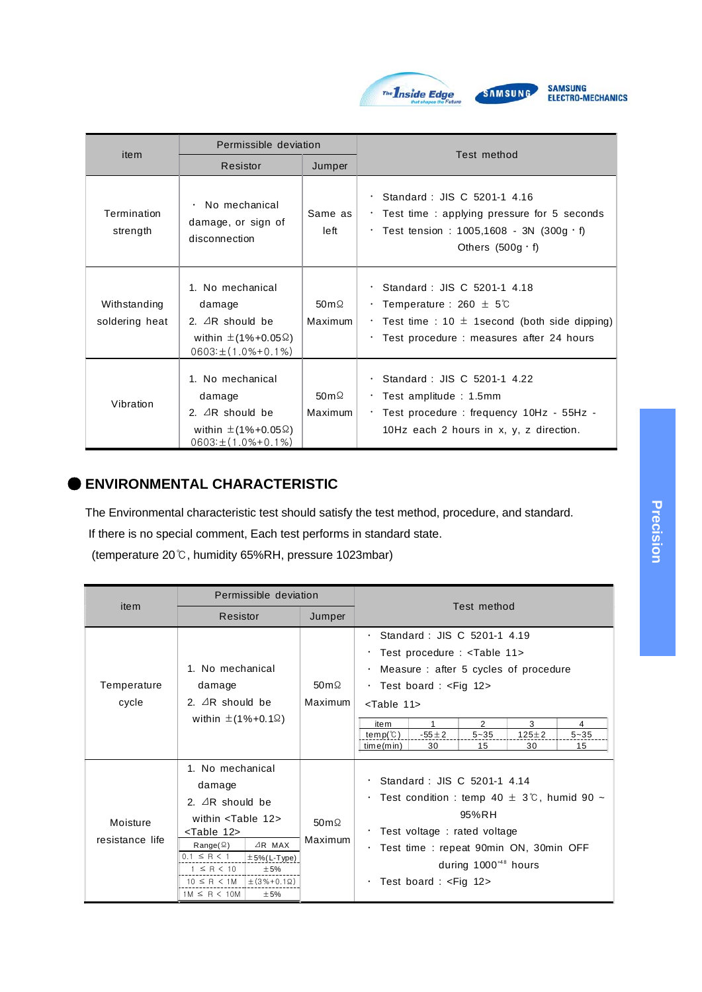

| item                           | Permissible deviation                                                                                                       |                                    |                                                                                                                                                                                        |
|--------------------------------|-----------------------------------------------------------------------------------------------------------------------------|------------------------------------|----------------------------------------------------------------------------------------------------------------------------------------------------------------------------------------|
|                                | Resistor                                                                                                                    | Jumper                             | Test method                                                                                                                                                                            |
| Termination<br>strength        | No mechanical<br>$\bullet$<br>damage, or sign of<br>disconnection                                                           | Same as<br>left                    | $\cdot$ Standard : JIS C 5201-1 4.16<br>$\cdot$ Test time : applying pressure for 5 seconds<br>. Test tension : $1005,1608 - 3N$ (300g · f)<br>Others $(500g \cdot f)$                 |
| Withstanding<br>soldering heat | 1. No mechanical<br>damage<br>2. $\triangle$ R should be<br>within $\pm$ (1%+0.05 $\Omega$ )<br>$0603: \pm (1.0\% + 0.1\%)$ | 50 $m\Omega$<br>Maximum            | $\cdot$ Standard : JIS C 5201-1 4.18<br>$\cdot$ Temperature : 260 $\pm$ 5°C<br>$\cdot$ Test time : 10 $\pm$ 1 second (both side dipping)<br>· Test procedure : measures after 24 hours |
| Vibration                      | 1. No mechanical<br>damage<br>2. $\triangle$ R should be<br>within $\pm$ (1%+0.05 $\Omega$ )<br>$0603: \pm (1.0\% + 0.1\%)$ | $50 \,\mathrm{m}\Omega$<br>Maximum | · Standard: JIS C 5201-1 4.22<br>$\cdot$ Test amplitude : 1.5mm<br>· Test procedure : frequency 10Hz - 55Hz -<br>10Hz each 2 hours in x, y, z direction.                               |

# ● **ENVIRONMENTAL CHARACTERISTIC**

The Environmental characteristic test should satisfy the test method, procedure, and standard.

If there is no special comment, Each test performs in standard state.

(temperature 20℃, humidity 65%RH, pressure 1023mbar)

|                             | Permissible deviation                                                                                                                                                                                                                                                                                                                                                                                       |                         | Test method                                                                                                                                                                                                                                                                                                                                                                                                                                |  |  |
|-----------------------------|-------------------------------------------------------------------------------------------------------------------------------------------------------------------------------------------------------------------------------------------------------------------------------------------------------------------------------------------------------------------------------------------------------------|-------------------------|--------------------------------------------------------------------------------------------------------------------------------------------------------------------------------------------------------------------------------------------------------------------------------------------------------------------------------------------------------------------------------------------------------------------------------------------|--|--|
| item                        | Resistor                                                                                                                                                                                                                                                                                                                                                                                                    | Jumper                  |                                                                                                                                                                                                                                                                                                                                                                                                                                            |  |  |
| Temperature<br>cycle        | 1. No mechanical<br>damage<br>2. $\triangle$ R should be<br>within $\pm$ (1%+0.1 $\Omega$ )                                                                                                                                                                                                                                                                                                                 | 50 $m\Omega$<br>Maximum | $\cdot$ Standard : JIS C 5201-1 4.19<br>· Test procedure : <table 11=""><br/>Measure: after 5 cycles of procedure<br/>٠<br/>· Test board : <fig 12=""><br/><table 11=""><br/><math>\overline{2}</math><br/>3<br/>1<br/>item<br/>4<br/>temp(<math>\mathcal{C}</math>)<br/><math>-55 \pm 2</math><br/><math>5 - 35</math><br/><math>125 \pm 2</math><br/><math>5 - 35</math><br/>time(min)<br/>30<br/>30<br/>15<br/>15</table></fig></table> |  |  |
| Moisture<br>resistance life | 1. No mechanical<br>damage<br>2. $\triangle$ R should be<br>within $\le$ Table 12><br><table 12=""><br/><math>\triangle</math>R MAX<br/><math>Range(\Omega)</math><br/><math>0.1 \leq R &lt; 1</math><br/><math>\pm 5\%</math> (L-Type)<br/><math>1 \leq R &lt; 10</math><br/>±5%<br/><math>10 \leq R &lt; 1</math>M <math>\pm (3\% + 0.1\Omega)</math><br/><math>1M \leq R &lt; 10M</math><br/>±5%</table> | 50 $m\Omega$<br>Maximum | $\cdot$ Standard : JIS C 5201-1 4.14<br>$\cdot$ Test condition : temp 40 $\pm$ 3°C, humid 90 $\sim$<br>95%RH<br>$\cdot$ Test voltage : rated voltage<br>· Test time : repeat 90min ON, 30min OFF<br>during $1000^{48}$ hours<br>$\cdot$ Test board : $\lt$ Fig 12>                                                                                                                                                                         |  |  |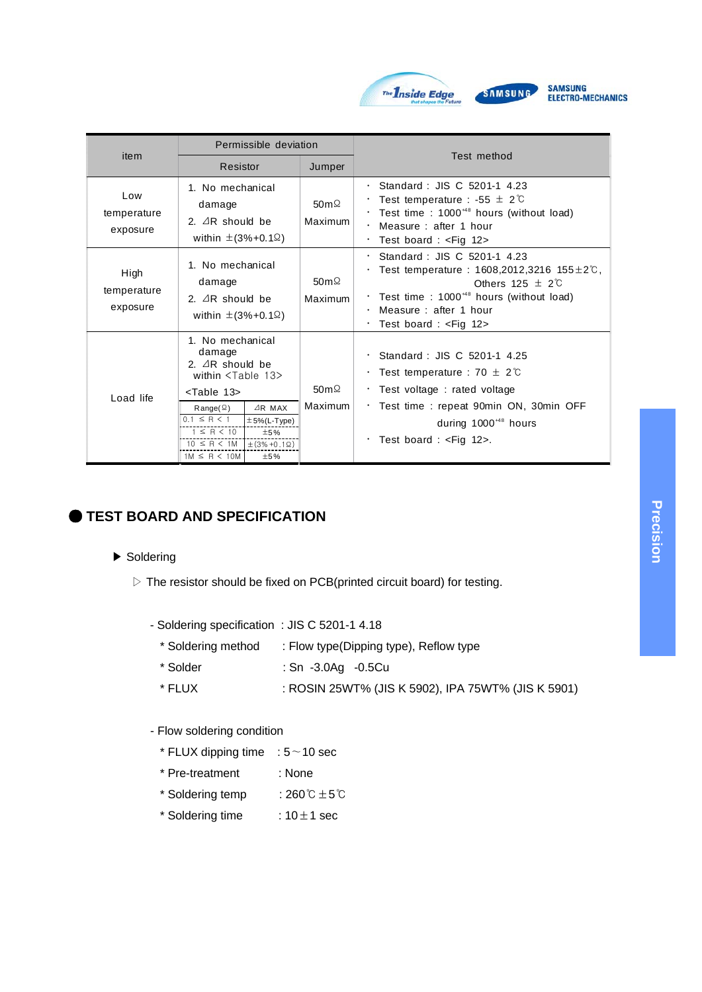

|                                 | Permissible deviation                                                                                                                                                                                                                                                                                                                                                                              |                                     | Test method                                                                                                                                                                                                                       |
|---------------------------------|----------------------------------------------------------------------------------------------------------------------------------------------------------------------------------------------------------------------------------------------------------------------------------------------------------------------------------------------------------------------------------------------------|-------------------------------------|-----------------------------------------------------------------------------------------------------------------------------------------------------------------------------------------------------------------------------------|
| item                            | Resistor                                                                                                                                                                                                                                                                                                                                                                                           | Jumper                              |                                                                                                                                                                                                                                   |
| Low<br>temperature<br>exposure  | 1. No mechanical<br>damage<br>2. $\triangle$ R should be<br>within $\pm$ (3%+0.1 $\Omega$ )                                                                                                                                                                                                                                                                                                        | $50 \,\mathrm{m} \Omega$<br>Maximum | $\cdot$ Standard : JIS C 5201-1 4.23<br>Test temperature : -55 $\pm$ 2°C<br>Test time: $1000^{48}$ hours (without load)<br>٠<br>Measure: after 1 hour<br>$\bullet$<br>Test board: $\leq$ Fig 12><br>٠                             |
| High<br>temperature<br>exposure | 1. No mechanical<br>damage<br>2. $\triangle$ R should be<br>within $\pm$ (3%+0.1 $\Omega$ )                                                                                                                                                                                                                                                                                                        | 50 $m\Omega$<br>Maximum             | Standard: JIS C 5201-1 4.23<br>Test temperature : 1608,2012,3216 155 $\pm$ 2°C,<br>Others $125 \pm 2\degree$<br>Test time: $1000^{48}$ hours (without load)<br>Measure: after 1 hour<br>Test board : <fig 12=""></fig>            |
| Load life                       | 1. No mechanical<br>damage<br>2. $\triangle$ R should be<br>within <table 13=""><br/><table 13=""><br/><math>AR</math> MAX<br/><math>Range(\Omega)</math><br/><math>0.1 \leq R &lt; 1</math><br/><math>±5%</math>(L-Type)<br/><math>1 \leq R &lt; 10</math><br/>±5%<br/><math>10 \leq R &lt; 1</math>M<br/><math>\pm</math> (3% +0.1Ω)<br/><math>1M \leq R &lt; 10M</math><br/>±5%</table></table> | 50 $m\Omega$<br>Maximum             | $\cdot$ Standard : JIS C 5201-1 4.25<br>Test temperature : 70 $\pm$ 2°C<br>$\cdot$ Test voltage : rated voltage<br>· Test time: repeat 90min ON, 30min OFF<br>during $1000^{48}$ hours<br>$\cdot$ Test board : <fig 12="">.</fig> |

# **TEST BOARD AND SPECIFICATION**

#### ▶ Soldering

- ▷ The resistor should be fixed on PCB(printed circuit board) for testing.
	- Soldering specification : JIS C 5201-1 4.18
		- \* Soldering method : Flow type(Dipping type), Reflow type
		- \* Solder : Sn -3.0Ag -0.5Cu
		- \* FLUX : ROSIN 25WT% (JIS K 5902), IPA 75WT% (JIS K 5901)

#### - Flow soldering condition

- \* FLUX dipping time : 5∼10 sec
- \* Pre-treatment : None
- \* Soldering temp : 260℃±5℃
- \* Soldering time  $: 10 \pm 1$  sec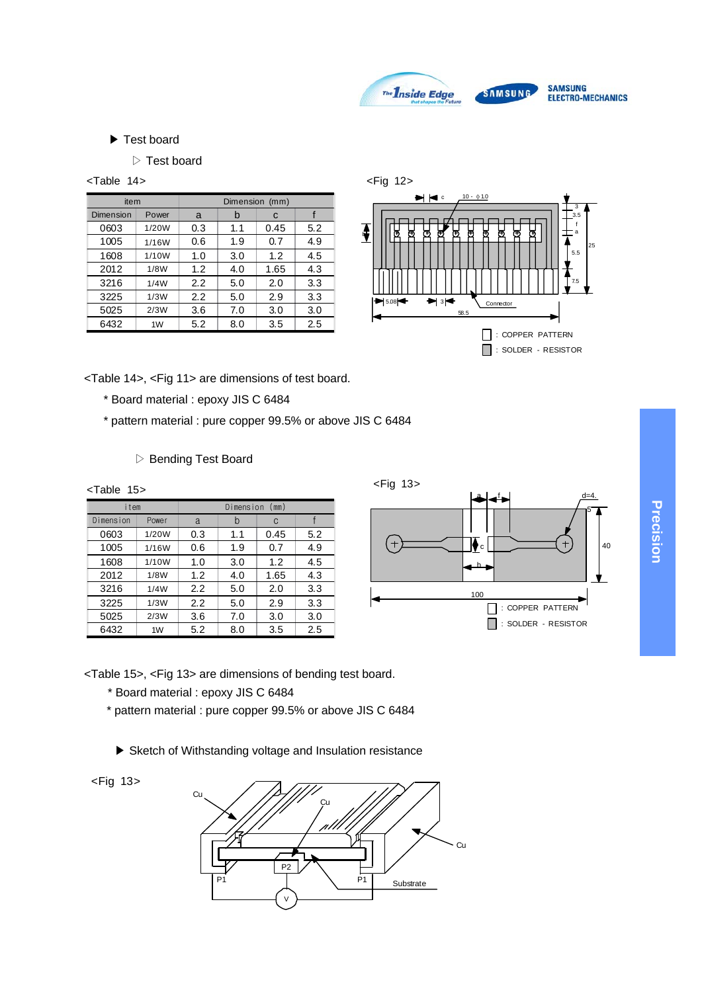

#### ▶ Test board

#### ▷ Test board

<Table 14>

| item      |       | Dimension<br>(mm) |     |      |     |  |
|-----------|-------|-------------------|-----|------|-----|--|
| Dimension | Power | a                 | b   | C    |     |  |
| 0603      | 1/20W | 0.3               | 1.1 | 0.45 | 5.2 |  |
| 1005      | 1/16W | 0.6               | 1.9 | 0.7  | 4.9 |  |
| 1608      | 1/10W | 1.0               | 3.0 | 1.2  | 4.5 |  |
| 2012      | 1/8W  | 1.2               | 4.0 | 1.65 | 4.3 |  |
| 3216      | 1/4W  | 2.2               | 5.0 | 2.0  | 3.3 |  |
| 3225      | 1/3W  | 2.2               | 5.0 | 2.9  | 3.3 |  |
| 5025      | 2/3W  | 3.6               | 7.0 | 3.0  | 3.0 |  |
| 6432      | 1W    | 5.2               | 8.0 | 3.5  | 2.5 |  |



<Table 14>, <Fig 11> are dimensions of test board.

- \* Board material : epoxy JIS C 6484
- \* pattern material : pure copper 99.5% or above JIS C 6484
	- ▷ Bending Test Board

| $Table 15>$ |       |     |                |      |     | $<$ Fig 13><br>$d=4$ .      |
|-------------|-------|-----|----------------|------|-----|-----------------------------|
| item        |       |     | Dimension (mm) |      |     | C                           |
| Dimension   | Power | a   | b              | C.   |     |                             |
| 0603        | 1/20W | 0.3 | 1.1            | 0.45 | 5.2 |                             |
| 1005        | 1/16W | 0.6 | 1.9            | 0.7  | 4.9 | $^\mathrm{+}$<br>IV<br>'c l |
| 1608        | 1/10W | 1.0 | 3.0            | 1.2  | 4.5 |                             |
| 2012        | 1/8W  | 1.2 | 4.0            | 1.65 | 4.3 |                             |
| 3216        | 1/4W  | 2.2 | 5.0            | 2.0  | 3.3 | 100                         |
| 3225        | 1/3W  | 2.2 | 5.0            | 2.9  | 3.3 | : COPPER PATTERN            |
| 5025        | 2/3W  | 3.6 | 7.0            | 3.0  | 3.0 |                             |
| 6432        | 1W    | 5.2 | 8.0            | 3.5  | 2.5 | SOLDER - RESISTOR           |

<Table 15>, <Fig 13> are dimensions of bending test board.

- \* Board material : epoxy JIS C 6484
- \* pattern material : pure copper 99.5% or above JIS C 6484
	- ▶ Sketch of Withstanding voltage and Insulation resistance



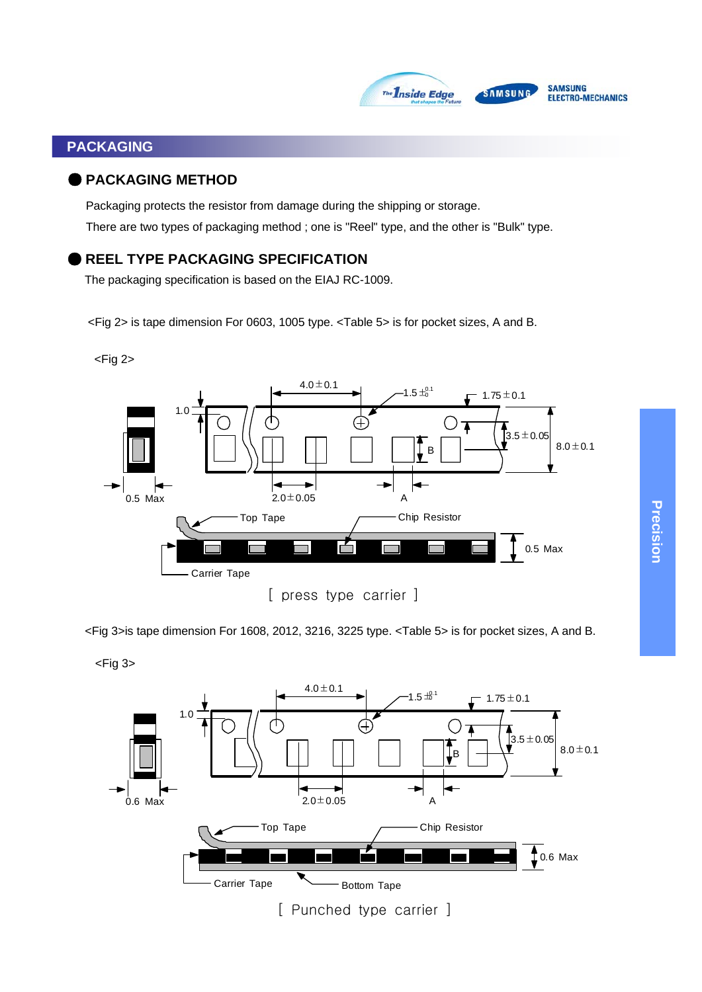

# **PACKAGING**

#### ● **PACKAGING METHOD**

Packaging protects the resistor from damage during the shipping or storage. There are two types of packaging method ; one is "Reel" type, and the other is "Bulk" type.

# **REEL TYPE PACKAGING SPECIFICATION**

The packaging specification is based on the EIAJ RC-1009.

<Fig 2> is tape dimension For 0603, 1005 type. <Table 5> is for pocket sizes, A and B.





<Fig 3>is tape dimension For 1608, 2012, 3216, 3225 type. <Table 5> is for pocket sizes, A and B.

 $<$ Fig 3 $>$ 

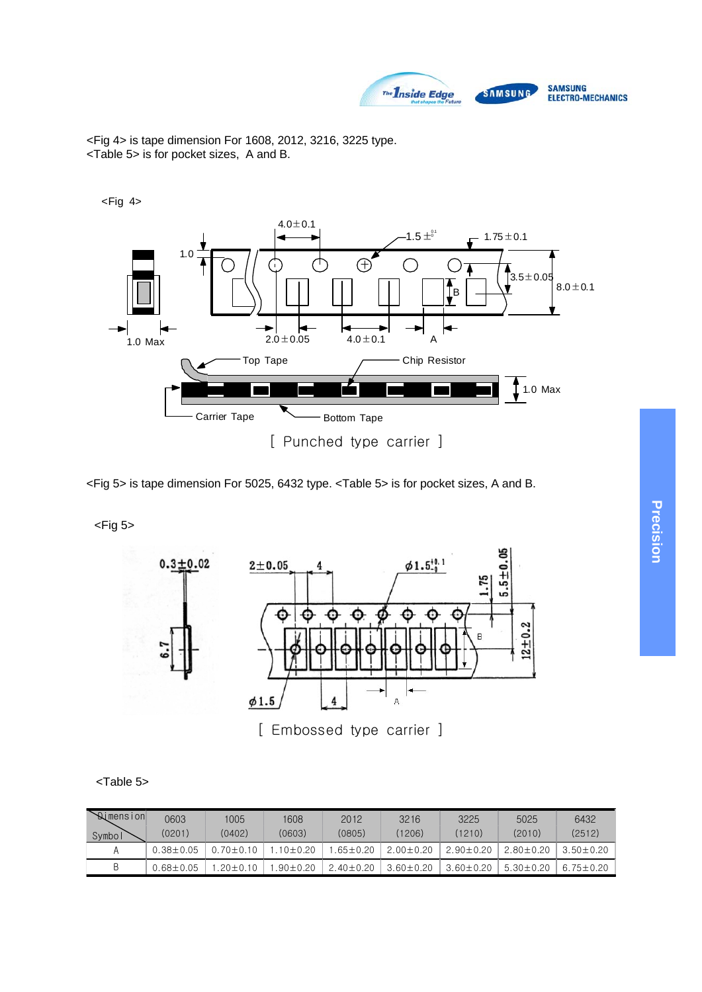

<Fig 4> is tape dimension For 1608, 2012, 3216, 3225 type. <Table 5> is for pocket sizes, A and B.

 $<$ Fig 4 $>$ 



<Fig 5> is tape dimension For 5025, 6432 type. <Table 5> is for pocket sizes, A and B.

 $<$ Fig 5 $>$ 



[ Embossed type carrier ]

| Table 5> |  |
|----------|--|
|          |  |

| Nimension | 0603          | 1005          | 1608         | 2012          | 3216          | 3225          | 5025          | 6432          |
|-----------|---------------|---------------|--------------|---------------|---------------|---------------|---------------|---------------|
| Symbol    | (0201)        | (0402)        | (0603)       | (0805)        | (1206)        | 1210)         | (2010)        | (2512)        |
| A         | $0.38 + 0.05$ | $0.70 + 0.10$ | $10+0.20$    | $.65 + 0.20$  | $2.00 + 0.20$ | $2.90 + 0.20$ | $2.80 + 0.20$ | $3.50 + 0.20$ |
| B         | $0.68 + 0.05$ | $20 + 0.10$   | $.90 + 0.20$ | $2.40 + 0.20$ | $3.60 + 0.20$ | $3.60 + 0.20$ | $5.30 + 0.20$ | $6.75 + 0.20$ |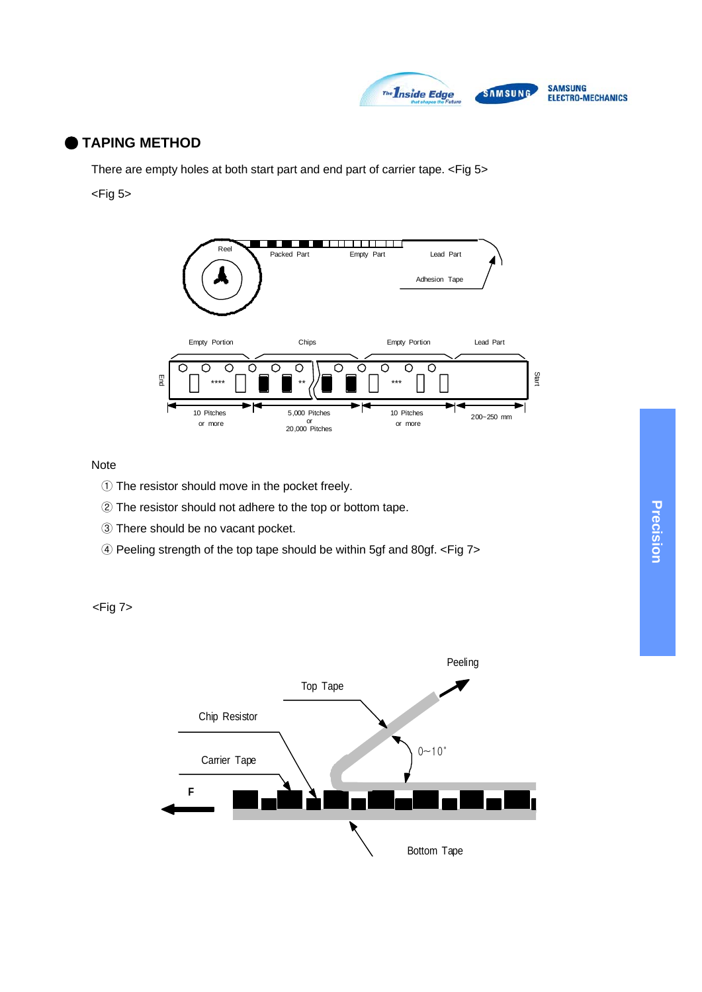

# ● **TAPING METHOD**

There are empty holes at both start part and end part of carrier tape. <Fig 5>  $<$ Fig 5 $>$ 



#### Note

- ① The resistor should move in the pocket freely.
- ② The resistor should not adhere to the top or bottom tape.
- ③ There should be no vacant pocket.
- ④ Peeling strength of the top tape should be within 5gf and 80gf. <Fig 7>

<Fig 7>

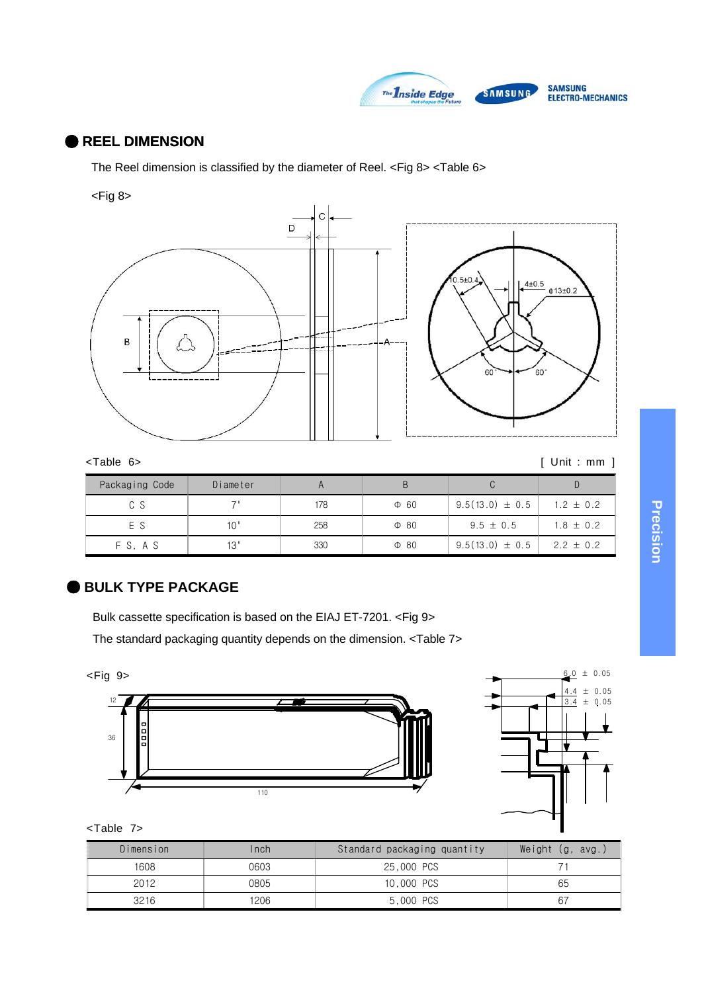

# ● **REEL DIMENSION**

The Reel dimension is classified by the diameter of Reel. <Fig 8> <Table 6>

#### <Fig 8>



| <table 6=""></table> |  |
|----------------------|--|
|----------------------|--|

 $[$  Unit : mm  $]$ 

| Packaging Code | Diameter |     |           |                     |               |
|----------------|----------|-----|-----------|---------------------|---------------|
| C S            | フ=       | 178 | $\Phi$ 60 | $9.5(13.0) \pm 0.5$ | $1.2 \pm 0.2$ |
| E S            | 10"      | 258 | $\Phi$ 80 | $9.5 \pm 0.5$       | $1.8 \pm 0.2$ |
| FS.AS          | 13"      | 330 | $\Phi$ 80 | $9.5(13.0) \pm 0.5$ | $2.2 \pm 0.2$ |

# ● **BULK TYPE PACKAGE**

Bulk cassette specification is based on the EIAJ ET-7201. <Fig 9>

The standard packaging quantity depends on the dimension. <Table 7>



| Table |  |
|-------|--|
|-------|--|

| Dimension | Inch | Standard packaging quantity | Weight $(g, avg.)$ |
|-----------|------|-----------------------------|--------------------|
| 1608      | 0603 | 25,000 PCS                  |                    |
| 2012      | 0805 | 10,000 PCS                  | 65                 |
| 3216      | 1206 | 5,000 PCS                   | -67                |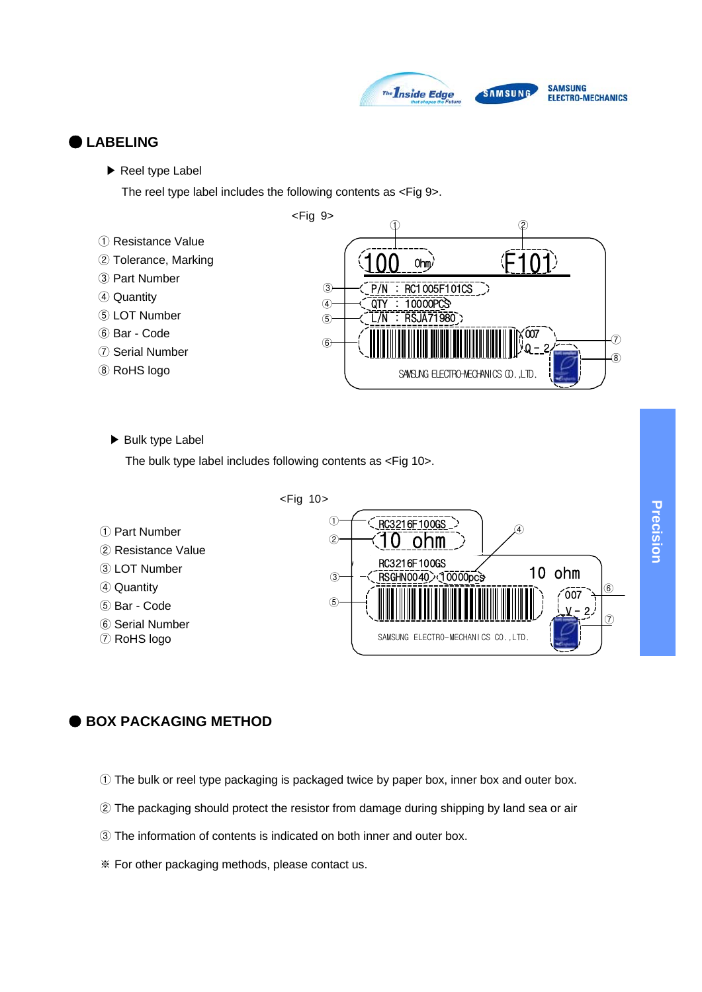

### ● **LABELING**

▶ Reel type Label

The reel type label includes the following contents as <Fig 9>.



▶ Bulk type Label

The bulk type label includes following contents as <Fig 10>.



#### ● **BOX PACKAGING METHOD**

- ① The bulk or reel type packaging is packaged twice by paper box, inner box and outer box.
- ② The packaging should protect the resistor from damage during shipping by land sea or air
- ③ The information of contents is indicated on both inner and outer box.
- ※ For other packaging methods, please contact us.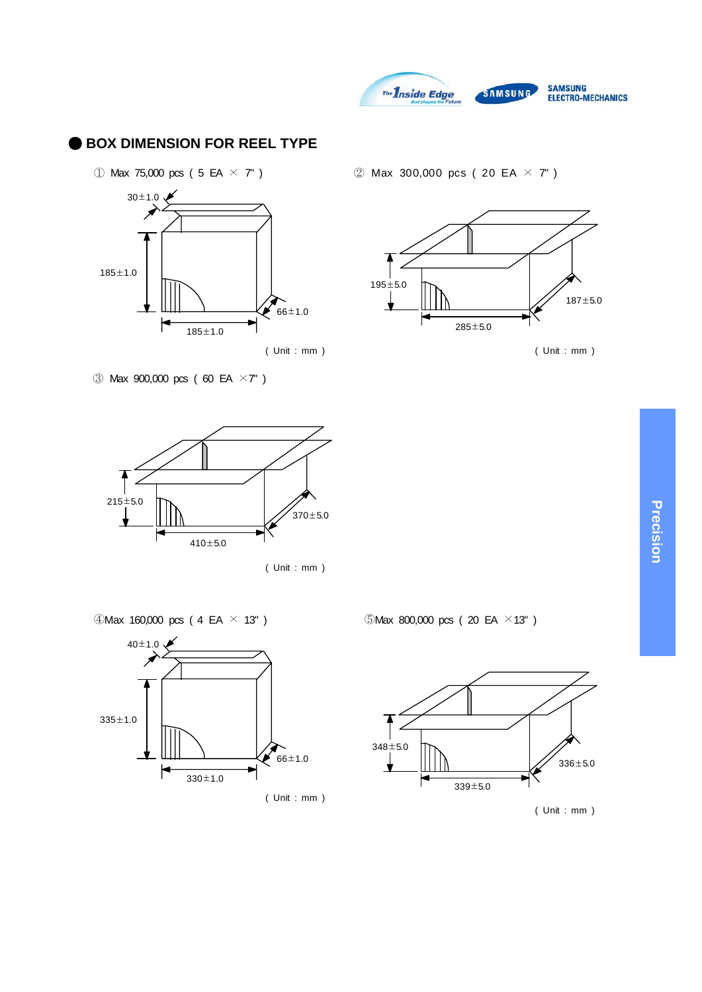

### **BOX DIMENSION FOR REEL TYPE**



Max 900,000 pcs ( 60 EA ×7" )



( Unit : mm )

 $\textcircled{1}$ Max 160,000 pcs (4 EA  $\times$  13")



① Max 75,000 pcs ( 5 EA  $\times$  7" ) 2 Max 300,000 pcs ( 20 EA  $\times$  7" )



( Unit : mm ) ( Unit : mm )

 $OMax 800,000 pcs (20 EA × 13")$ 



( Unit : mm )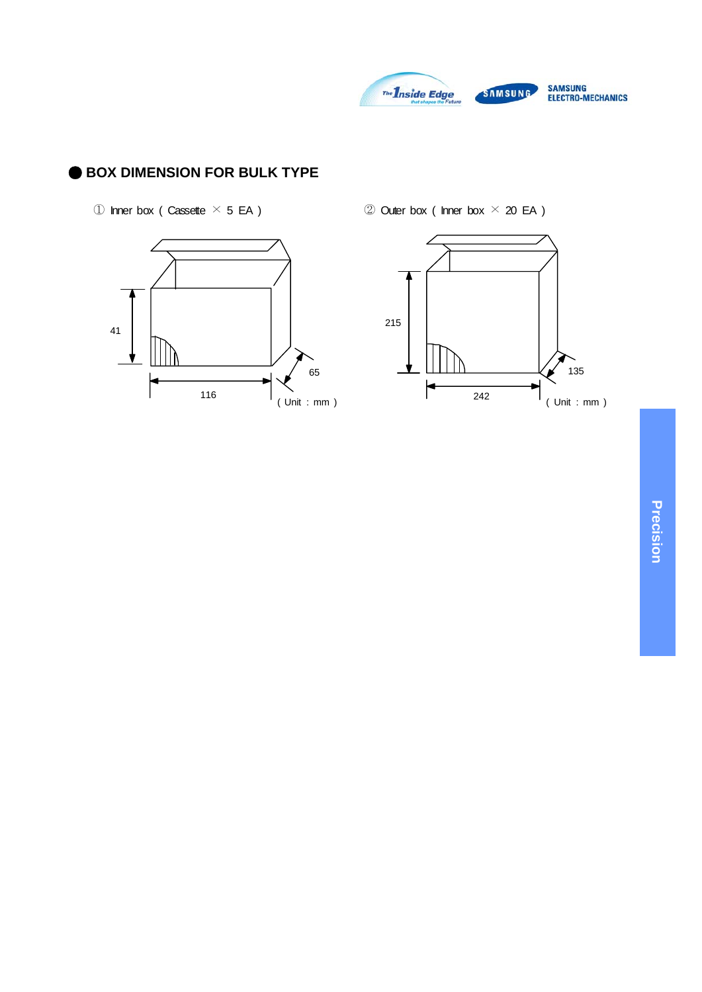

# ● **BOX DIMENSION FOR BULK TYPE**

 $\circledR$  Inner box ( Cassette  $\times$  5 EA )  $\circledR$  Outer box ( Inner box  $\times$  20 EA )



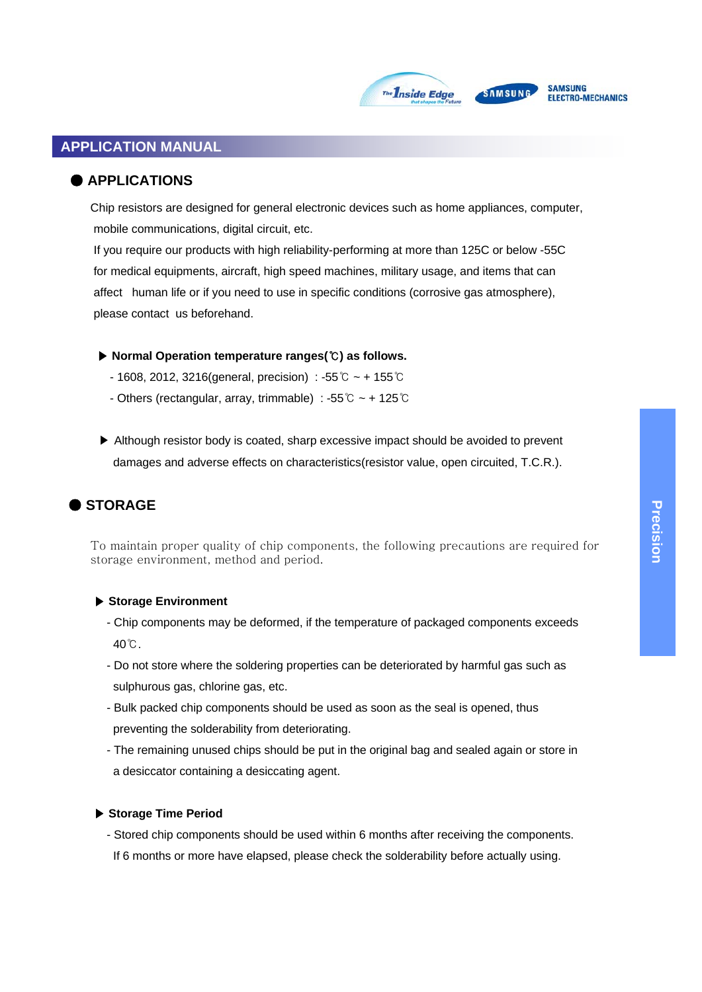

# SAMSUNG

#### **SAMSUNG** ELECTRO-MECHANICS

# **APPLICATION MANUAL**

# ● **APPLICATIONS**

Chip resistors are designed for general electronic devices such as home appliances, computer, mobile communications, digital circuit, etc.

If you require our products with high reliability-performing at more than 125C or below -55C for medical equipments, aircraft, high speed machines, military usage, and items that can affect human life or if you need to use in specific conditions (corrosive gas atmosphere), please contact us beforehand.

- ▶ **Normal Operation temperature ranges(**℃**) as follows.**
	- 1608, 2012, 3216(general, precision) : -55℃ ~ + 155℃
	- Others (rectangular, array, trimmable) : -55℃ ~ + 125℃
- ▶ Although resistor body is coated, sharp excessive impact should be avoided to prevent damages and adverse effects on characteristics(resistor value, open circuited, T.C.R.).

# ● **STORAGE**

To maintain proper quality of chip components, the following precautions are required for storage environment, method and period.

#### ▶ **Storage Environment**

- Chip components may be deformed, if the temperature of packaged components exceeds 40℃.
- Do not store where the soldering properties can be deteriorated by harmful gas such as sulphurous gas, chlorine gas, etc.
- Bulk packed chip components should be used as soon as the seal is opened, thus preventing the solderability from deteriorating.
- The remaining unused chips should be put in the original bag and sealed again or store in a desiccator containing a desiccating agent.

#### ▶ **Storage Time Period**

- Stored chip components should be used within 6 months after receiving the components. If 6 months or more have elapsed, please check the solderability before actually using.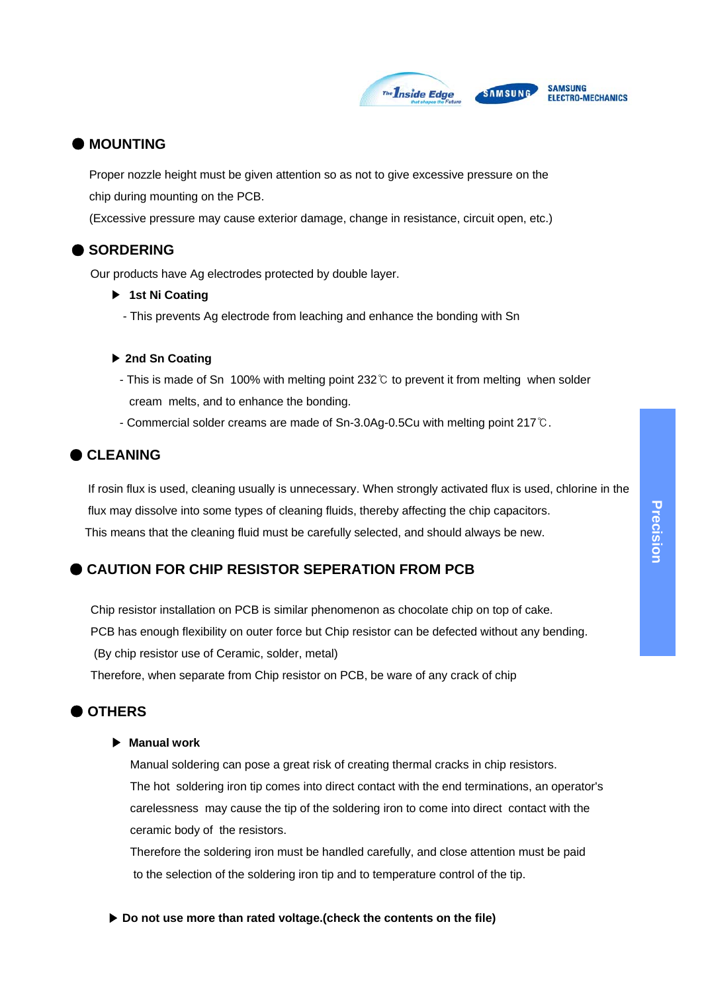

### ● **MOUNTING**

Proper nozzle height must be given attention so as not to give excessive pressure on the chip during mounting on the PCB.

(Excessive pressure may cause exterior damage, change in resistance, circuit open, etc.)

#### ● **SORDERING**

Our products have Ag electrodes protected by double layer.

- ▶ **1st Ni Coating**
	- This prevents Ag electrode from leaching and enhance the bonding with Sn

#### ▶ **2nd Sn Coating**

- This is made of Sn 100% with melting point 232℃ to prevent it from melting when solder cream melts, and to enhance the bonding.
- Commercial solder creams are made of Sn-3.0Ag-0.5Cu with melting point 217℃.

# ● **CLEANING**

If rosin flux is used, cleaning usually is unnecessary. When strongly activated flux is used, chlorine in the flux may dissolve into some types of cleaning fluids, thereby affecting the chip capacitors. This means that the cleaning fluid must be carefully selected, and should always be new.

# **CAUTION FOR CHIP RESISTOR SEPERATION FROM PCB**

Chip resistor installation on PCB is similar phenomenon as chocolate chip on top of cake. PCB has enough flexibility on outer force but Chip resistor can be defected without any bending. (By chip resistor use of Ceramic, solder, metal) Therefore, when separate from Chip resistor on PCB, be ware of any crack of chip

# ● **OTHERS**

#### ▶ **Manual work**

Manual soldering can pose a great risk of creating thermal cracks in chip resistors. The hot soldering iron tip comes into direct contact with the end terminations, an operator's carelessness may cause the tip of the soldering iron to come into direct contact with the ceramic body of the resistors.

Therefore the soldering iron must be handled carefully, and close attention must be paid to the selection of the soldering iron tip and to temperature control of the tip.

▶ **Do not use more than rated voltage.(check the contents on the file)**